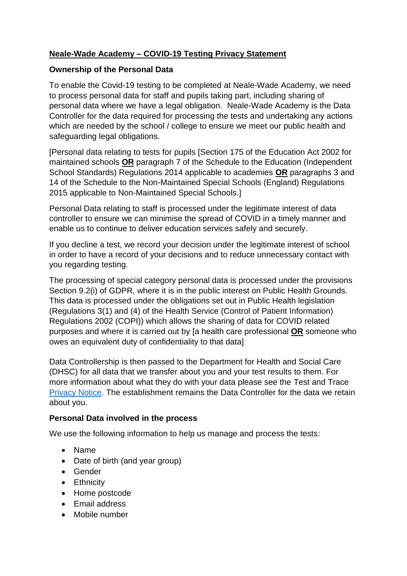# **Neale-Wade Academy – COVID-19 Testing Privacy Statement**

### **Ownership of the Personal Data**

To enable the Covid-19 testing to be completed at Neale-Wade Academy, we need to process personal data for staff and pupils taking part, including sharing of personal data where we have a legal obligation. Neale-Wade Academy is the Data Controller for the data required for processing the tests and undertaking any actions which are needed by the school / college to ensure we meet our public health and safeguarding legal obligations.

[Personal data relating to tests for pupils [Section 175 of the Education Act 2002 for maintained schools **OR** paragraph 7 of the Schedule to the Education (Independent School Standards) Regulations 2014 applicable to academies **OR** paragraphs 3 and 14 of the Schedule to the Non-Maintained Special Schools (England) Regulations 2015 applicable to Non-Maintained Special Schools.]

Personal Data relating to staff is processed under the legitimate interest of data controller to ensure we can minimise the spread of COVID in a timely manner and enable us to continue to deliver education services safely and securely.

If you decline a test, we record your decision under the legitimate interest of school in order to have a record of your decisions and to reduce unnecessary contact with you regarding testing.

The processing of special category personal data is processed under the provisions Section 9.2(i) of GDPR, where it is in the public interest on Public Health Grounds. This data is processed under the obligations set out in Public Health legislation (Regulations 3(1) and (4) of the Health Service (Control of Patient Information) Regulations 2002 (COPI)) which allows the sharing of data for COVID related purposes and where it is carried out by [a health care professional **OR** someone who owes an equivalent duty of confidentiality to that data]

Data Controllership is then passed to the Department for Health and Social Care (DHSC) for all data that we transfer about you and your test results to them. For more information about what they do with your data please see the Test and Trace [Privacy Notice.](https://contact-tracing.phe.gov.uk/help/privacy-notice) The establishment remains the Data Controller for the data we retain about you.

# **Personal Data involved in the process**

We use the following information to help us manage and process the tests:

- Name
- Date of birth (and year group)
- Gender
- Ethnicity
- Home postcode
- Email address
- Mobile number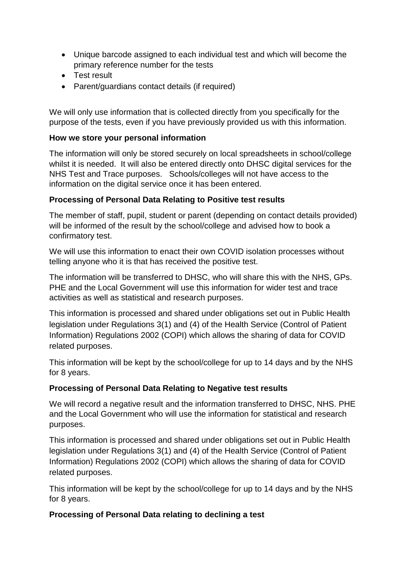- Unique barcode assigned to each individual test and which will become the primary reference number for the tests
- Test result
- Parent/guardians contact details (if required)

We will only use information that is collected directly from you specifically for the purpose of the tests, even if you have previously provided us with this information.

#### **How we store your personal information**

The information will only be stored securely on local spreadsheets in school/college whilst it is needed. It will also be entered directly onto DHSC digital services for the NHS Test and Trace purposes. Schools/colleges will not have access to the information on the digital service once it has been entered.

### **Processing of Personal Data Relating to Positive test results**

The member of staff, pupil, student or parent (depending on contact details provided) will be informed of the result by the school/college and advised how to book a confirmatory test.

We will use this information to enact their own COVID isolation processes without telling anyone who it is that has received the positive test.

The information will be transferred to DHSC, who will share this with the NHS, GPs. PHE and the Local Government will use this information for wider test and trace activities as well as statistical and research purposes.

This information is processed and shared under obligations set out in Public Health legislation under Regulations 3(1) and (4) of the Health Service (Control of Patient Information) Regulations 2002 (COPI) which allows the sharing of data for COVID related purposes.

This information will be kept by the school/college for up to 14 days and by the NHS for 8 years.

### **Processing of Personal Data Relating to Negative test results**

We will record a negative result and the information transferred to DHSC, NHS. PHE and the Local Government who will use the information for statistical and research purposes.

This information is processed and shared under obligations set out in Public Health legislation under Regulations 3(1) and (4) of the Health Service (Control of Patient Information) Regulations 2002 (COPI) which allows the sharing of data for COVID related purposes.

This information will be kept by the school/college for up to 14 days and by the NHS for 8 years.

### **Processing of Personal Data relating to declining a test**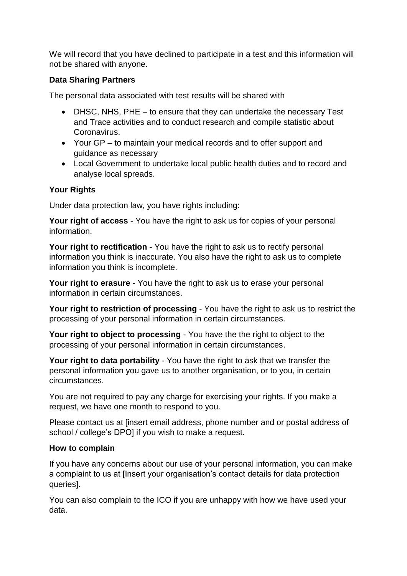We will record that you have declined to participate in a test and this information will not be shared with anyone.

### **Data Sharing Partners**

The personal data associated with test results will be shared with

- DHSC, NHS, PHE to ensure that they can undertake the necessary Test and Trace activities and to conduct research and compile statistic about Coronavirus.
- Your GP to maintain your medical records and to offer support and guidance as necessary
- Local Government to undertake local public health duties and to record and analyse local spreads.

### **Your Rights**

Under data protection law, you have rights including:

**Your right of access** - You have the right to ask us for copies of your personal information.

**Your right to rectification** - You have the right to ask us to rectify personal information you think is inaccurate. You also have the right to ask us to complete information you think is incomplete.

**Your right to erasure** - You have the right to ask us to erase your personal information in certain circumstances.

**Your right to restriction of processing** - You have the right to ask us to restrict the processing of your personal information in certain circumstances.

**Your right to object to processing** - You have the the right to object to the processing of your personal information in certain circumstances.

**Your right to data portability** - You have the right to ask that we transfer the personal information you gave us to another organisation, or to you, in certain circumstances.

You are not required to pay any charge for exercising your rights. If you make a request, we have one month to respond to you.

Please contact us at [insert email address, phone number and or postal address of school / college's DPO] if you wish to make a request.

### **How to complain**

If you have any concerns about our use of your personal information, you can make a complaint to us at [Insert your organisation's contact details for data protection queries].

You can also complain to the ICO if you are unhappy with how we have used your data.